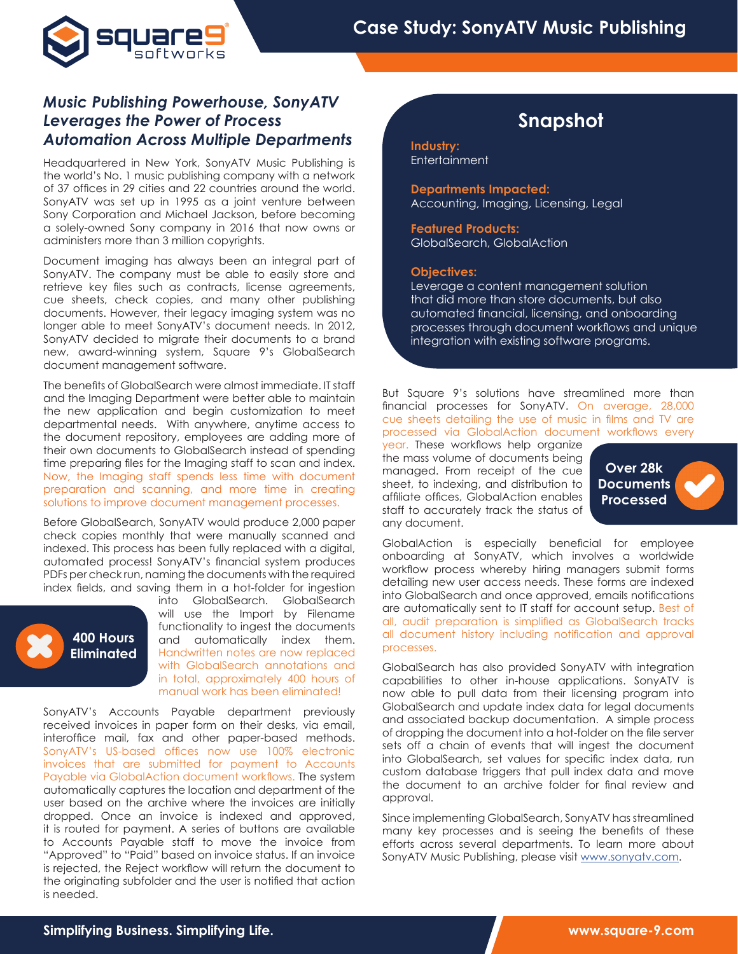

## *Music Publishing Powerhouse, SonyATV Leverages the Power of Process Automation Across Multiple Departments*

Headquartered in New York, SonyATV Music Publishing is the world's No. 1 music publishing company with a network of 37 offices in 29 cities and 22 countries around the world. SonyATV was set up in 1995 as a joint venture between Sony Corporation and Michael Jackson, before becoming a solely-owned Sony company in 2016 that now owns or administers more than 3 million copyrights.

Document imaging has always been an integral part of SonyATV. The company must be able to easily store and retrieve key files such as contracts, license agreements, cue sheets, check copies, and many other publishing documents. However, their legacy imaging system was no longer able to meet SonyATV's document needs. In 2012, SonyATV decided to migrate their documents to a brand new, award-winning system, Square 9's GlobalSearch document management software.

The benefits of GlobalSearch were almost immediate. IT staff and the Imaging Department were better able to maintain the new application and begin customization to meet departmental needs. With anywhere, anytime access to the document repository, employees are adding more of their own documents to GlobalSearch instead of spending time preparing files for the Imaging staff to scan and index. Now, the Imaging staff spends less time with document preparation and scanning, and more time in creating solutions to improve document management processes.

Before GlobalSearch, SonyATV would produce 2,000 paper check copies monthly that were manually scanned and indexed. This process has been fully replaced with a digital, automated process! SonyATV's financial system produces PDFs per check run, naming the documents with the required index fields, and saving them in a hot-folder for ingestion



into GlobalSearch. GlobalSearch will use the Import by Filename functionality to ingest the documents and automatically index them. Handwritten notes are now replaced with GlobalSearch annotations and in total, approximately 400 hours of manual work has been eliminated!

SonyATV's Accounts Payable department previously received invoices in paper form on their desks, via email, interoffice mail, fax and other paper-based methods. SonyATV's US-based offices now use 100% electronic invoices that are submitted for payment to Accounts Payable via GlobalAction document workflows. The system automatically captures the location and department of the user based on the archive where the invoices are initially dropped. Once an invoice is indexed and approved, it is routed for payment. A series of buttons are available to Accounts Payable staff to move the invoice from "Approved" to "Paid" based on invoice status. If an invoice is rejected, the Reject workflow will return the document to the originating subfolder and the user is notified that action is needed.

# **Snapshot**

**Industry: Entertainment** 

**Departments Impacted:**  Accounting, Imaging, Licensing, Legal

**Featured Products:** GlobalSearch, GlobalAction

#### **Objectives:**

Leverage a content management solution that did more than store documents, but also automated financial, licensing, and onboarding processes through document workflows and unique integration with existing software programs.

But Square 9's solutions have streamlined more than financial processes for SonyATV. On average, 28,000 cue sheets detailing the use of music in films and TV are processed via GlobalAction document workflows every

year. These workflows help organize the mass volume of documents being managed. From receipt of the cue sheet, to indexing, and distribution to affiliate offices, GlobalAction enables staff to accurately track the status of any document.

**Over 28k Documents Processed**

GlobalAction is especially beneficial for employee onboarding at SonyATV, which involves a worldwide workflow process whereby hiring managers submit forms detailing new user access needs. These forms are indexed into GlobalSearch and once approved, emails notifications are automatically sent to IT staff for account setup. Best of all, audit preparation is simplified as GlobalSearch tracks all document history including notification and approval processes.

GlobalSearch has also provided SonyATV with integration capabilities to other in-house applications. SonyATV is now able to pull data from their licensing program into GlobalSearch and update index data for legal documents and associated backup documentation. A simple process of dropping the document into a hot-folder on the file server sets off a chain of events that will ingest the document into GlobalSearch, set values for specific index data, run custom database triggers that pull index data and move the document to an archive folder for final review and approval.

Since implementing GlobalSearch, SonyATV has streamlined many key processes and is seeing the benefits of these efforts across several departments. To learn more about SonyATV Music Publishing, please visit www.sonyatv.com.